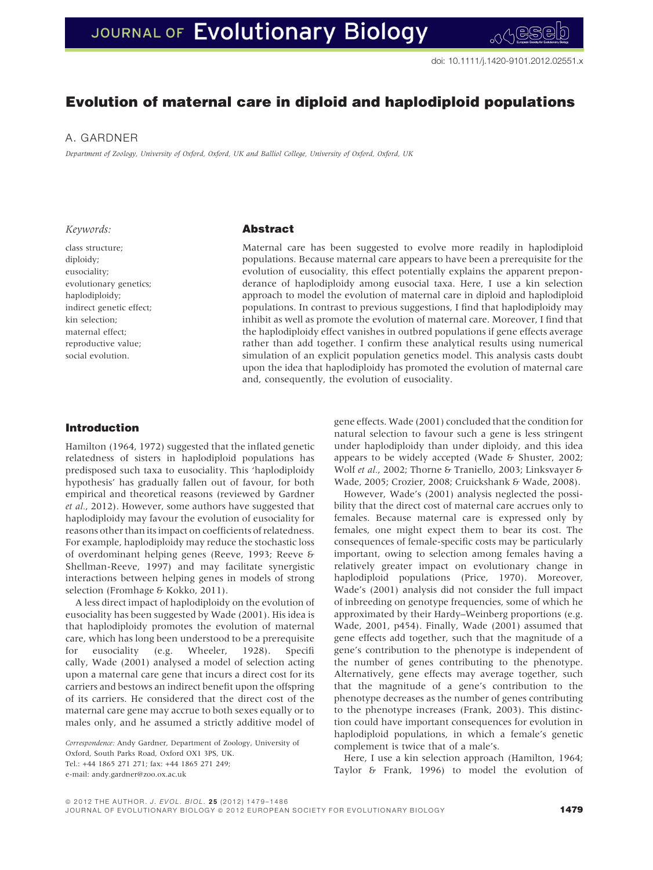# Evolution of maternal care in diploid and haplodiploid populations

## A. GARDNER

Department of Zoology, University of Oxford, Oxford, UK and Balliol College, University of Oxford, Oxford, UK

### Keywords:

# Abstract

class structure; diploidy; eusociality; evolutionary genetics; haplodiploidy; indirect genetic effect; kin selection; maternal effect; reproductive value; social evolution.

Maternal care has been suggested to evolve more readily in haplodiploid populations. Because maternal care appears to have been a prerequisite for the evolution of eusociality, this effect potentially explains the apparent preponderance of haplodiploidy among eusocial taxa. Here, I use a kin selection approach to model the evolution of maternal care in diploid and haplodiploid populations. In contrast to previous suggestions, I find that haplodiploidy may inhibit as well as promote the evolution of maternal care. Moreover, I find that the haplodiploidy effect vanishes in outbred populations if gene effects average rather than add together. I confirm these analytical results using numerical simulation of an explicit population genetics model. This analysis casts doubt upon the idea that haplodiploidy has promoted the evolution of maternal care and, consequently, the evolution of eusociality.

# Introduction

Hamilton (1964, 1972) suggested that the inflated genetic relatedness of sisters in haplodiploid populations has predisposed such taxa to eusociality. This 'haplodiploidy hypothesis' has gradually fallen out of favour, for both empirical and theoretical reasons (reviewed by Gardner et al., 2012). However, some authors have suggested that haplodiploidy may favour the evolution of eusociality for reasons other than its impact on coefficients of relatedness. For example, haplodiploidy may reduce the stochastic loss of overdominant helping genes (Reeve, 1993; Reeve & Shellman-Reeve, 1997) and may facilitate synergistic interactions between helping genes in models of strong selection (Fromhage & Kokko, 2011).

A less direct impact of haplodiploidy on the evolution of eusociality has been suggested by Wade (2001). His idea is that haplodiploidy promotes the evolution of maternal care, which has long been understood to be a prerequisite for eusociality (e.g. Wheeler, 1928). Specifi cally, Wade (2001) analysed a model of selection acting upon a maternal care gene that incurs a direct cost for its carriers and bestows an indirect benefit upon the offspring of its carriers. He considered that the direct cost of the maternal care gene may accrue to both sexes equally or to males only, and he assumed a strictly additive model of

Correspondence: Andy Gardner, Department of Zoology, University of Oxford, South Parks Road, Oxford OX1 3PS, UK.  $Tel \cdot +44$  1865 271 271 $·$  fax $·$  +44 1865 271 249 $·$ e-mail: andy.gardner@zoo.ox.ac.uk

gene effects. Wade (2001) concluded that the condition for natural selection to favour such a gene is less stringent under haplodiploidy than under diploidy, and this idea appears to be widely accepted (Wade & Shuster, 2002; Wolf et al., 2002; Thorne & Traniello, 2003; Linksvayer & Wade, 2005; Crozier, 2008; Cruickshank & Wade, 2008).

However, Wade's (2001) analysis neglected the possibility that the direct cost of maternal care accrues only to females. Because maternal care is expressed only by females, one might expect them to bear its cost. The consequences of female-specific costs may be particularly important, owing to selection among females having a relatively greater impact on evolutionary change in haplodiploid populations (Price, 1970). Moreover, Wade's (2001) analysis did not consider the full impact of inbreeding on genotype frequencies, some of which he approximated by their Hardy–Weinberg proportions (e.g. Wade, 2001, p454). Finally, Wade (2001) assumed that gene effects add together, such that the magnitude of a gene's contribution to the phenotype is independent of the number of genes contributing to the phenotype. Alternatively, gene effects may average together, such that the magnitude of a gene's contribution to the phenotype decreases as the number of genes contributing to the phenotype increases (Frank, 2003). This distinction could have important consequences for evolution in haplodiploid populations, in which a female's genetic complement is twice that of a male's.

Here, I use a kin selection approach (Hamilton, 1964; Taylor & Frank, 1996) to model the evolution of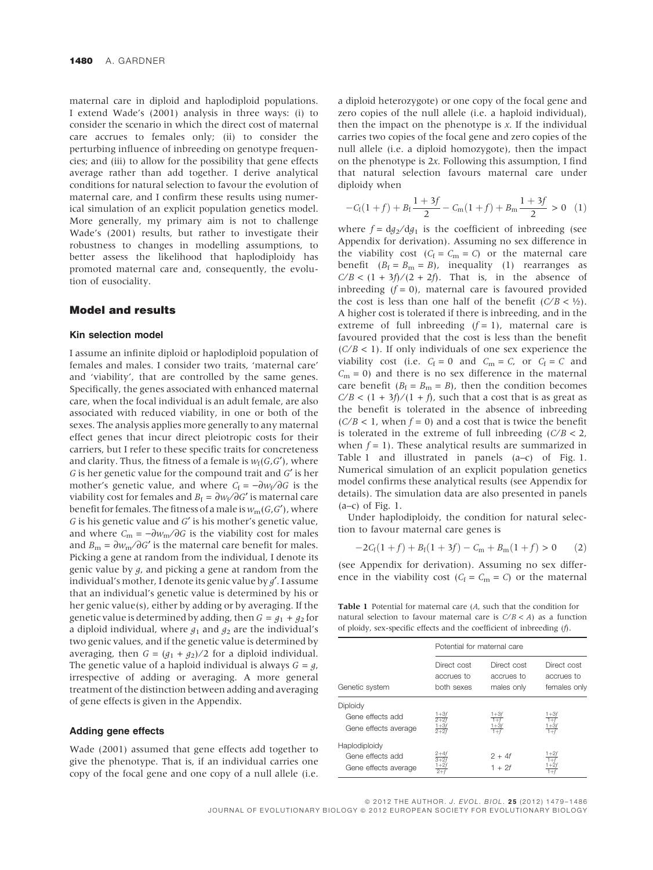maternal care in diploid and haplodiploid populations. I extend Wade's (2001) analysis in three ways: (i) to consider the scenario in which the direct cost of maternal care accrues to females only; (ii) to consider the perturbing influence of inbreeding on genotype frequencies; and (iii) to allow for the possibility that gene effects average rather than add together. I derive analytical conditions for natural selection to favour the evolution of maternal care, and I confirm these results using numerical simulation of an explicit population genetics model. More generally, my primary aim is not to challenge Wade's (2001) results, but rather to investigate their robustness to changes in modelling assumptions, to better assess the likelihood that haplodiploidy has promoted maternal care and, consequently, the evolution of eusociality.

## Model and results

# Kin selection model

I assume an infinite diploid or haplodiploid population of females and males. I consider two traits, 'maternal care' and 'viability', that are controlled by the same genes. Specifically, the genes associated with enhanced maternal care, when the focal individual is an adult female, are also associated with reduced viability, in one or both of the sexes. The analysis applies more generally to any maternal effect genes that incur direct pleiotropic costs for their carriers, but I refer to these specific traits for concreteness and clarity. Thus, the fitness of a female is  $w_f(G, G')$ , where G is her genetic value for the compound trait and  $G'$  is her mother's genetic value, and where  $C_f = -\frac{\partial w_f}{\partial G}$  is the viability cost for females and  $B_f = \frac{\partial w_f}{\partial G'}$  is maternal care benefit for females. The fitness of a male is  $w_m(G, G')$ , where  $G$  is his genetic value and  $G'$  is his mother's genetic value, and where  $C_m = -\frac{\partial w_m}{\partial G}$  is the viability cost for males and  $B_m = \partial w_m / \partial G'$  is the maternal care benefit for males. Picking a gene at random from the individual, I denote its genic value by g, and picking a gene at random from the individual's mother, I denote its genic value by  $g'$ . I assume that an individual's genetic value is determined by his or her genic value(s), either by adding or by averaging. If the genetic value is determined by adding, then  $G = g_1 + g_2$  for a diploid individual, where  $g_1$  and  $g_2$  are the individual's two genic values, and if the genetic value is determined by averaging, then  $G = (g_1 + g_2)/2$  for a diploid individual. The genetic value of a haploid individual is always  $G = g$ , irrespective of adding or averaging. A more general treatment of the distinction between adding and averaging of gene effects is given in the Appendix.

### Adding gene effects

Wade (2001) assumed that gene effects add together to give the phenotype. That is, if an individual carries one copy of the focal gene and one copy of a null allele (i.e. a diploid heterozygote) or one copy of the focal gene and zero copies of the null allele (i.e. a haploid individual), then the impact on the phenotype is  $x$ . If the individual carries two copies of the focal gene and zero copies of the null allele (i.e. a diploid homozygote), then the impact on the phenotype is 2x. Following this assumption, I find that natural selection favours maternal care under diploidy when

$$
-C_f(1+f) + B_f \frac{1+3f}{2} - C_m(1+f) + B_m \frac{1+3f}{2} > 0 \quad (1)
$$

where  $f = dg_2/dg_1$  is the coefficient of inbreeding (see Appendix for derivation). Assuming no sex difference in the viability cost ( $C_f = C_m = C$ ) or the maternal care benefit  $(B_f = B_m = B)$ , inequality (1) rearranges as  $C/B < (1 + 3f)/(2 + 2f)$ . That is, in the absence of inbreeding  $(f = 0)$ , maternal care is favoured provided the cost is less than one half of the benefit  $(C/B < 1/2)$ . A higher cost is tolerated if there is inbreeding, and in the extreme of full inbreeding  $(f = 1)$ , maternal care is favoured provided that the cost is less than the benefit  $(C/B < 1)$ . If only individuals of one sex experience the viability cost (i.e.  $C_f = 0$  and  $C_m = C$ , or  $C_f = C$  and  $C_m = 0$ ) and there is no sex difference in the maternal care benefit ( $B_f = B_m = B$ ), then the condition becomes  $C/B < (1 + 3f)/(1 + f)$ , such that a cost that is as great as the benefit is tolerated in the absence of inbreeding  $(C/B < 1$ , when  $f = 0$ ) and a cost that is twice the benefit is tolerated in the extreme of full inbreeding  $(C/B < 2$ , when  $f = 1$ ). These analytical results are summarized in Table 1 and illustrated in panels (a–c) of Fig. 1. Numerical simulation of an explicit population genetics model confirms these analytical results (see Appendix for details). The simulation data are also presented in panels  $(a-c)$  of Fig. 1.

Under haplodiploidy, the condition for natural selection to favour maternal care genes is

$$
-2C_f(1+f) + B_f(1+3f) - C_m + B_m(1+f) > 0 \qquad (2)
$$

(see Appendix for derivation). Assuming no sex difference in the viability cost ( $C_f = C_m = C$ ) or the maternal

Table 1 Potential for maternal care (A, such that the condition for natural selection to favour maternal care is  $C/B < A$ ) as a function of ploidy, sex-specific effects and the coefficient of inbreeding (f).

|                                                           | Potential for maternal care             |                                         |                                           |
|-----------------------------------------------------------|-----------------------------------------|-----------------------------------------|-------------------------------------------|
| Genetic system                                            | Direct cost<br>accrues to<br>both sexes | Direct cost<br>accrues to<br>males only | Direct cost<br>accrues to<br>females only |
| Diploidy<br>Gene effects add<br>Gene effects average      | 1+31<br>$2 + 2f$<br>$\frac{1+3f}{2+2f}$ | 1+3)                                    | 1+3f<br>$\pm 3j$                          |
| Haplodiploidy<br>Gene effects add<br>Gene effects average |                                         | $2 + 4f$<br>$1 + 2f$                    | $+2f$                                     |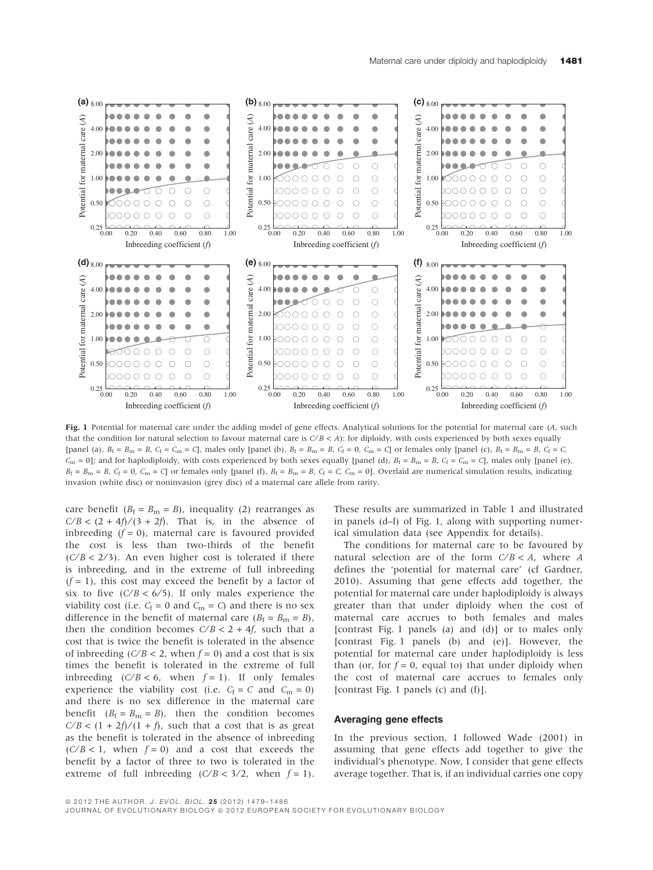

Fig. 1 Potential for maternal care under the adding model of gene effects. Analytical solutions for the potential for maternal care (A, such that the condition for natural selection to favour maternal care is  $C/B < A$ ): for diploidy, with costs experienced by both sexes equally [panel (a),  $B_f = B_m = B$ ,  $C_f = C_m = C_l$ , males only [panel (b),  $B_f = B_m = B$ ,  $C_f = 0$ ,  $C_m = C_l$  or females only [panel (c),  $B_f = B_m = B$ ,  $C_f = C_l$  $C_m = 0$ ; and for haplodiploidy, with costs experienced by both sexes equally [panel (d),  $B_f = B_m = B$ ,  $C_f = C_m = C$ ], males only [panel (e),  $B_f = B_m = B$ ,  $C_f = 0$ ,  $C_m = C$  or females only [panel (f),  $B_f = B_m = B$ ,  $C_f = C$ ,  $C_m = 0$ ]. Overlaid are numerical simulation results, indicating invasion (white disc) or noninvasion (grey disc) of a maternal care allele from rarity.

care benefit ( $B_f = B_m = B$ ), inequality (2) rearranges as  $C/B < (2 + 4f)/(3 + 2f)$ . That is, in the absence of inbreeding  $(f = 0)$ , maternal care is favoured provided the cost is less than two-thirds of the benefit  $(C/B < 2/3)$ . An even higher cost is tolerated if there is inbreeding, and in the extreme of full inbreeding  $(f = 1)$ , this cost may exceed the benefit by a factor of six to five  $(C/B < 6/5)$ . If only males experience the viability cost (i.e.  $C_f = 0$  and  $C_m = C$ ) and there is no sex difference in the benefit of maternal care  $(B_f = B_m = B)$ , then the condition becomes  $C/B < 2 + 4f$ , such that a cost that is twice the benefit is tolerated in the absence of inbreeding ( $C/B < 2$ , when  $f = 0$ ) and a cost that is six times the benefit is tolerated in the extreme of full inbreeding ( $C/B < 6$ , when  $f = 1$ ). If only females experience the viability cost (i.e.  $C_f = C$  and  $C_m = 0$ ) and there is no sex difference in the maternal care benefit  $(B_f = B_m = B)$ , then the condition becomes  $C/B < (1 + 2f)/(1 + f)$ , such that a cost that is as great as the benefit is tolerated in the absence of inbreeding  $(C/B < 1$ , when  $f = 0$ ) and a cost that exceeds the benefit by a factor of three to two is tolerated in the extreme of full inbreeding  $(C/B < 3/2$ , when  $f = 1$ ).

These results are summarized in Table 1 and illustrated in panels (d–f) of Fig. 1, along with supporting numerical simulation data (see Appendix for details).

The conditions for maternal care to be favoured by natural selection are of the form  $C/B < A$ , where A defines the 'potential for maternal care' (cf Gardner, 2010). Assuming that gene effects add together, the potential for maternal care under haplodiploidy is always greater than that under diploidy when the cost of maternal care accrues to both females and males [contrast Fig. 1 panels (a) and (d)] or to males only [contrast Fig. 1 panels (b) and (e)]. However, the potential for maternal care under haplodiploidy is less than (or, for  $f = 0$ , equal to) that under diploidy when the cost of maternal care accrues to females only [contrast Fig. 1 panels (c) and (f)].

#### Averaging gene effects

In the previous section, I followed Wade (2001) in assuming that gene effects add together to give the individual's phenotype. Now, I consider that gene effects average together. That is, if an individual carries one copy

JOURNAL OF EVOLUTIONARY BIOLOGY ª 2012 EUROPEAN SOCIETY FOR EVOLUTIONARY BIOLOGY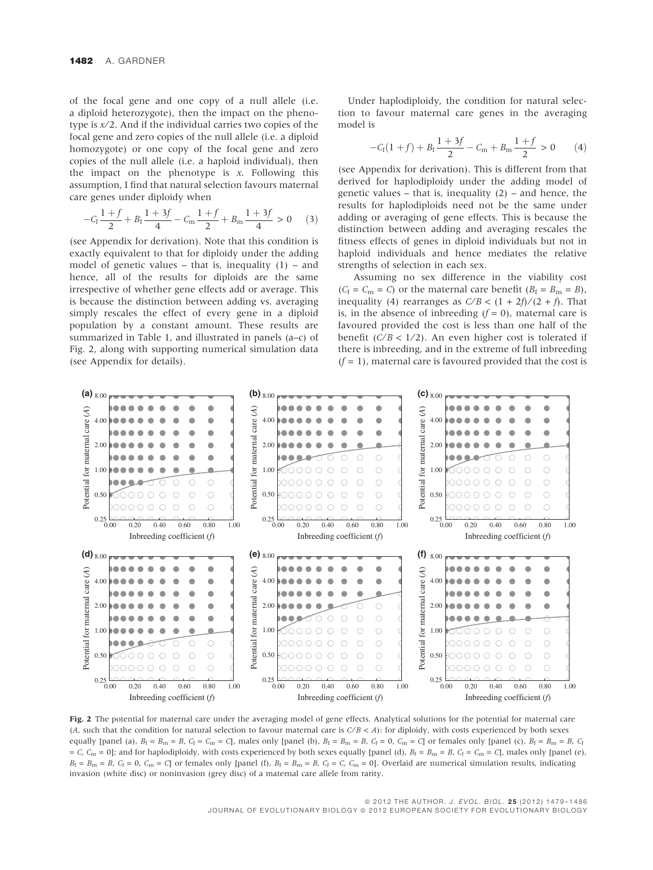of the focal gene and one copy of a null allele (i.e. a diploid heterozygote), then the impact on the phenotype is  $x/2$ . And if the individual carries two copies of the focal gene and zero copies of the null allele (i.e. a diploid homozygote) or one copy of the focal gene and zero copies of the null allele (i.e. a haploid individual), then the impact on the phenotype is  $x$ . Following this assumption, I find that natural selection favours maternal care genes under diploidy when

$$
-C_{\rm f}\frac{1+f}{2} + B_{\rm f}\frac{1+3f}{4} - C_{\rm m}\frac{1+f}{2} + B_{\rm m}\frac{1+3f}{4} > 0 \tag{3}
$$

(see Appendix for derivation). Note that this condition is exactly equivalent to that for diploidy under the adding model of genetic values – that is, inequality  $(1)$  – and hence, all of the results for diploids are the same irrespective of whether gene effects add or average. This is because the distinction between adding vs. averaging simply rescales the effect of every gene in a diploid population by a constant amount. These results are summarized in Table 1, and illustrated in panels (a–c) of Fig. 2, along with supporting numerical simulation data (see Appendix for details).

Under haplodiploidy, the condition for natural selection to favour maternal care genes in the averaging model is

$$
-C_f(1+f) + B_f \frac{1+3f}{2} - C_m + B_m \frac{1+f}{2} > 0 \qquad (4)
$$

(see Appendix for derivation). This is different from that derived for haplodiploidy under the adding model of genetic values – that is, inequality  $(2)$  – and hence, the results for haplodiploids need not be the same under adding or averaging of gene effects. This is because the distinction between adding and averaging rescales the fitness effects of genes in diploid individuals but not in haploid individuals and hence mediates the relative strengths of selection in each sex.

Assuming no sex difference in the viability cost  $(C_f = C_m = C)$  or the maternal care benefit  $(B_f = B_m = B)$ , inequality (4) rearranges as  $C/B < (1 + 2f)/(2 + f)$ . That is, in the absence of inbreeding  $(f = 0)$ , maternal care is favoured provided the cost is less than one half of the benefit ( $C/B < 1/2$ ). An even higher cost is tolerated if there is inbreeding, and in the extreme of full inbreeding  $(f = 1)$ , maternal care is favoured provided that the cost is



Fig. 2 The potential for maternal care under the averaging model of gene effects. Analytical solutions for the potential for maternal care (A, such that the condition for natural selection to favour maternal care is  $C/B < A$ ): for diploidy, with costs experienced by both sexes equally [panel (a),  $B_f = B_m = B$ ,  $C_f = C_m = C$ ], males only [panel (b),  $B_f = B_m = B$ ,  $C_f = 0$ ,  $C_m = C$ ] or females only [panel (c),  $B_f = B_m = B$ ,  $C_f = 0$ = C, C<sub>m</sub> = 0]; and for haplodiploidy, with costs experienced by both sexes equally [panel (d),  $B_f = B_m = B$ , C<sub>f</sub> = C<sub>m</sub> = C], males only [panel (e),  $B_f = B_m = B$ ,  $C_f = 0$ ,  $C_m = C$  or females only [panel (f),  $B_f = B_m = B$ ,  $C_f = C$ ,  $C_m = 0$ ]. Overlaid are numerical simulation results, indicating invasion (white disc) or noninvasion (grey disc) of a maternal care allele from rarity.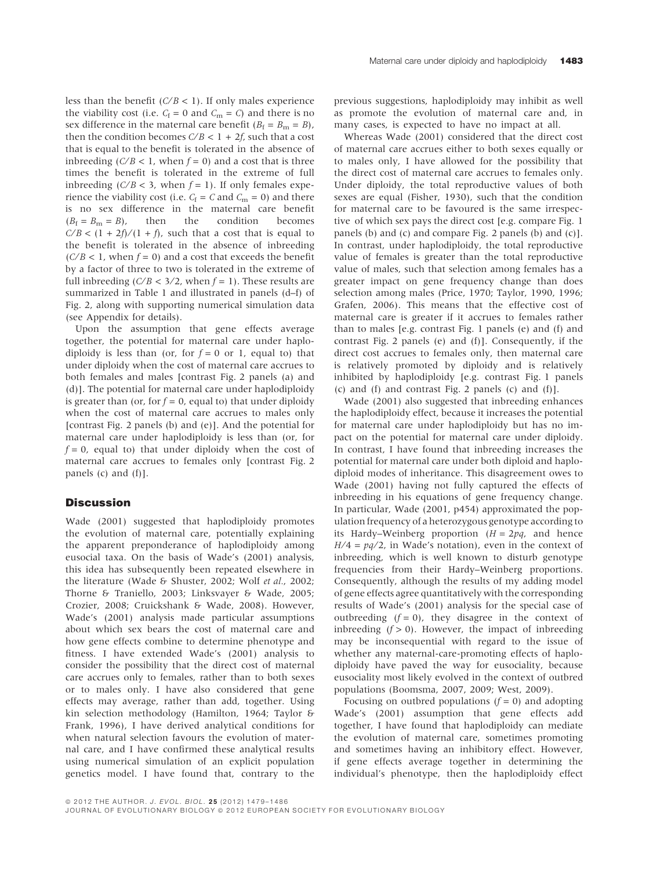less than the benefit  $(C/B < 1)$ . If only males experience the viability cost (i.e.  $C_f = 0$  and  $C_m = C$ ) and there is no sex difference in the maternal care benefit ( $B_f = B_m = B$ ), then the condition becomes  $C/B < 1 + 2f$ , such that a cost that is equal to the benefit is tolerated in the absence of inbreeding ( $C/B < 1$ , when  $f = 0$ ) and a cost that is three times the benefit is tolerated in the extreme of full inbreeding ( $C/B < 3$ , when  $f = 1$ ). If only females experience the viability cost (i.e.  $C_f = C$  and  $C_m = 0$ ) and there is no sex difference in the maternal care benefit  $(B_f = B_m = B)$ , then the condition becomes  $C/B < (1 + 2f)/(1 + f)$ , such that a cost that is equal to the benefit is tolerated in the absence of inbreeding  $(C/B < 1$ , when  $f = 0$ ) and a cost that exceeds the benefit by a factor of three to two is tolerated in the extreme of full inbreeding  $(C/B < 3/2$ , when  $f = 1$ ). These results are summarized in Table 1 and illustrated in panels (d–f) of Fig. 2, along with supporting numerical simulation data (see Appendix for details).

Upon the assumption that gene effects average together, the potential for maternal care under haplodiploidy is less than (or, for  $f = 0$  or 1, equal to) that under diploidy when the cost of maternal care accrues to both females and males [contrast Fig. 2 panels (a) and (d)]. The potential for maternal care under haplodiploidy is greater than (or, for  $f = 0$ , equal to) that under diploidy when the cost of maternal care accrues to males only [contrast Fig. 2 panels (b) and (e)]. And the potential for maternal care under haplodiploidy is less than (or, for  $f = 0$ , equal to) that under diploidy when the cost of maternal care accrues to females only [contrast Fig. 2 panels (c) and (f)].

# **Discussion**

Wade (2001) suggested that haplodiploidy promotes the evolution of maternal care, potentially explaining the apparent preponderance of haplodiploidy among eusocial taxa. On the basis of Wade's (2001) analysis, this idea has subsequently been repeated elsewhere in the literature (Wade & Shuster, 2002; Wolf et al., 2002; Thorne & Traniello, 2003; Linksvayer & Wade, 2005; Crozier, 2008; Cruickshank & Wade, 2008). However, Wade's (2001) analysis made particular assumptions about which sex bears the cost of maternal care and how gene effects combine to determine phenotype and fitness. I have extended Wade's (2001) analysis to consider the possibility that the direct cost of maternal care accrues only to females, rather than to both sexes or to males only. I have also considered that gene effects may average, rather than add, together. Using kin selection methodology (Hamilton, 1964; Taylor & Frank, 1996), I have derived analytical conditions for when natural selection favours the evolution of maternal care, and I have confirmed these analytical results using numerical simulation of an explicit population genetics model. I have found that, contrary to the

previous suggestions, haplodiploidy may inhibit as well as promote the evolution of maternal care and, in many cases, is expected to have no impact at all.

Whereas Wade (2001) considered that the direct cost of maternal care accrues either to both sexes equally or to males only, I have allowed for the possibility that the direct cost of maternal care accrues to females only. Under diploidy, the total reproductive values of both sexes are equal (Fisher, 1930), such that the condition for maternal care to be favoured is the same irrespective of which sex pays the direct cost [e.g. compare Fig. 1 panels (b) and (c) and compare Fig. 2 panels (b) and (c)]. In contrast, under haplodiploidy, the total reproductive value of females is greater than the total reproductive value of males, such that selection among females has a greater impact on gene frequency change than does selection among males (Price, 1970; Taylor, 1990, 1996; Grafen, 2006). This means that the effective cost of maternal care is greater if it accrues to females rather than to males [e.g. contrast Fig. 1 panels (e) and (f) and contrast Fig. 2 panels (e) and (f)]. Consequently, if the direct cost accrues to females only, then maternal care is relatively promoted by diploidy and is relatively inhibited by haplodiploidy [e.g. contrast Fig. 1 panels (c) and (f) and contrast Fig. 2 panels (c) and (f)].

Wade (2001) also suggested that inbreeding enhances the haplodiploidy effect, because it increases the potential for maternal care under haplodiploidy but has no impact on the potential for maternal care under diploidy. In contrast, I have found that inbreeding increases the potential for maternal care under both diploid and haplodiploid modes of inheritance. This disagreement owes to Wade (2001) having not fully captured the effects of inbreeding in his equations of gene frequency change. In particular, Wade (2001, p454) approximated the population frequency of a heterozygous genotype according to its Hardy–Weinberg proportion  $(H = 2pq)$ , and hence  $H/4 = \frac{pa}{2}$ , in Wade's notation), even in the context of inbreeding, which is well known to disturb genotype frequencies from their Hardy–Weinberg proportions. Consequently, although the results of my adding model of gene effects agree quantitatively with the corresponding results of Wade's (2001) analysis for the special case of outbreeding  $(f = 0)$ , they disagree in the context of inbreeding  $(f > 0)$ . However, the impact of inbreeding may be inconsequential with regard to the issue of whether any maternal-care-promoting effects of haplodiploidy have paved the way for eusociality, because eusociality most likely evolved in the context of outbred populations (Boomsma, 2007, 2009; West, 2009).

Focusing on outbred populations  $(f = 0)$  and adopting Wade's (2001) assumption that gene effects add together, I have found that haplodiploidy can mediate the evolution of maternal care, sometimes promoting and sometimes having an inhibitory effect. However, if gene effects average together in determining the individual's phenotype, then the haplodiploidy effect

ª 2012 THE AUTHOR. J. EVOL. BIOL. 2 5 (2012) 1479–1486

JOURNAL OF EVOLUTIONARY BIOLOGY ª 2012 EUROPEAN SOCIETY FOR EVOLUTIONARY BIOLOGY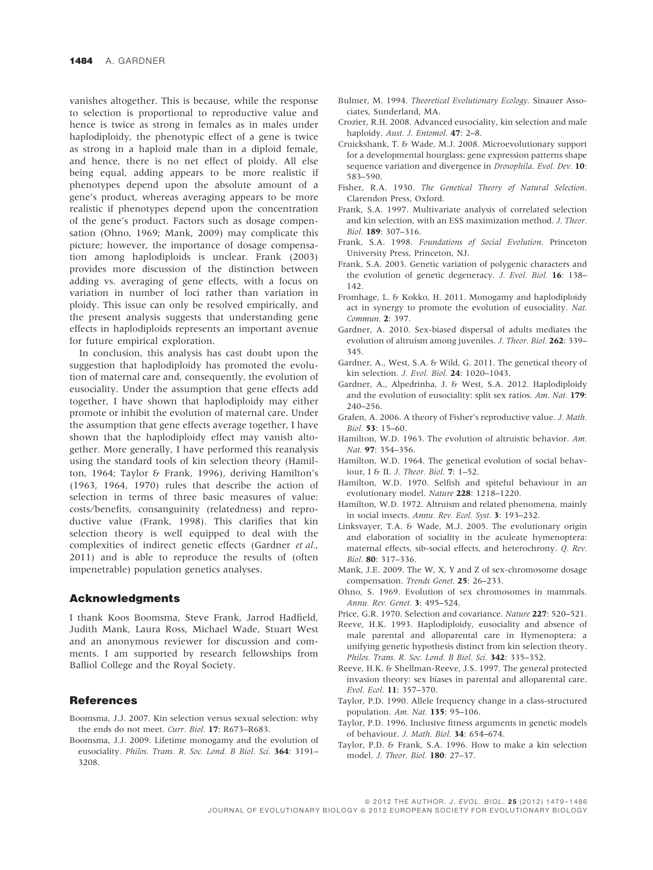vanishes altogether. This is because, while the response to selection is proportional to reproductive value and hence is twice as strong in females as in males under haplodiploidy, the phenotypic effect of a gene is twice as strong in a haploid male than in a diploid female, and hence, there is no net effect of ploidy. All else being equal, adding appears to be more realistic if phenotypes depend upon the absolute amount of a gene's product, whereas averaging appears to be more realistic if phenotypes depend upon the concentration of the gene's product. Factors such as dosage compensation (Ohno, 1969; Mank, 2009) may complicate this picture; however, the importance of dosage compensation among haplodiploids is unclear. Frank (2003) provides more discussion of the distinction between adding vs. averaging of gene effects, with a focus on variation in number of loci rather than variation in ploidy. This issue can only be resolved empirically, and the present analysis suggests that understanding gene effects in haplodiploids represents an important avenue for future empirical exploration.

In conclusion, this analysis has cast doubt upon the suggestion that haplodiploidy has promoted the evolution of maternal care and, consequently, the evolution of eusociality. Under the assumption that gene effects add together, I have shown that haplodiploidy may either promote or inhibit the evolution of maternal care. Under the assumption that gene effects average together, I have shown that the haplodiploidy effect may vanish altogether. More generally, I have performed this reanalysis using the standard tools of kin selection theory (Hamilton, 1964; Taylor & Frank, 1996), deriving Hamilton's (1963, 1964, 1970) rules that describe the action of selection in terms of three basic measures of value: costs⁄ benefits, consanguinity (relatedness) and reproductive value (Frank, 1998). This clarifies that kin selection theory is well equipped to deal with the complexities of indirect genetic effects (Gardner et al., 2011) and is able to reproduce the results of (often impenetrable) population genetics analyses.

## Acknowledgments

I thank Koos Boomsma, Steve Frank, Jarrod Hadfield, Judith Mank, Laura Ross, Michael Wade, Stuart West and an anonymous reviewer for discussion and comments. I am supported by research fellowships from Balliol College and the Royal Society.

## References

- Boomsma, J.J. 2007. Kin selection versus sexual selection: why the ends do not meet. Curr. Biol. 17: R673–R683.
- Boomsma, J.J. 2009. Lifetime monogamy and the evolution of eusociality. Philos. Trans. R. Soc. Lond. B Biol. Sci. 364: 3191– 3208.
- Bulmer, M. 1994. Theoretical Evolutionary Ecology. Sinauer Associates, Sunderland, MA.
- Crozier, R.H. 2008. Advanced eusociality, kin selection and male haploidy. Aust. J. Entomol. 47: 2-8.
- Cruickshank, T. & Wade, M.J. 2008. Microevolutionary support for a developmental hourglass: gene expression patterns shape sequence variation and divergence in *Drosophila*. Evol. Dev. 10: 583–590.
- Fisher, R.A. 1930. The Genetical Theory of Natural Selection. Clarendon Press, Oxford.
- Frank, S.A. 1997. Multivariate analysis of correlated selection and kin selection, with an ESS maximization method. J. Theor. Biol. 189: 307–316.
- Frank, S.A. 1998. Foundations of Social Evolution. Princeton University Press, Princeton, NJ.
- Frank, S.A. 2003. Genetic variation of polygenic characters and the evolution of genetic degeneracy. J. Evol. Biol. 16: 138– 142.
- Fromhage, L. & Kokko, H. 2011. Monogamy and haplodiploidy act in synergy to promote the evolution of eusociality. Nat. Commun. 2: 397.
- Gardner, A. 2010. Sex-biased dispersal of adults mediates the evolution of altruism among juveniles. J. Theor. Biol. 262: 339– 345.
- Gardner, A., West, S.A. & Wild, G. 2011. The genetical theory of kin selection. J. Evol. Biol. 24: 1020–1043.
- Gardner, A., Alpedrinha, J. & West, S.A. 2012. Haplodiploidy and the evolution of eusociality: split sex ratios. Am. Nat. 179: 240–256.
- Grafen, A. 2006. A theory of Fisher's reproductive value. J. Math. Biol. 53: 15–60.
- Hamilton, W.D. 1963. The evolution of altruistic behavior. Am. Nat. 97: 354–356.
- Hamilton, W.D. 1964. The genetical evolution of social behaviour, I & II. J. Theor. Biol. 7: 1–52.
- Hamilton, W.D. 1970. Selfish and spiteful behaviour in an evolutionary model. Nature 228: 1218–1220.
- Hamilton, W.D. 1972. Altruism and related phenomena, mainly in social insects. Annu. Rev. Ecol. Syst. 3: 193–232.
- Linksvayer, T.A. & Wade, M.J. 2005. The evolutionary origin and elaboration of sociality in the aculeate hymenoptera: maternal effects, sib-social effects, and heterochrony. Q. Rev. Biol. 80: 317–336.
- Mank, J.E. 2009. The W, X, Y and Z of sex-chromosome dosage compensation. Trends Genet. 25: 26–233.
- Ohno, S. 1969. Evolution of sex chromosomes in mammals. Annu. Rev. Genet. 3: 495–524.
- Price, G.R. 1970. Selection and covariance. Nature 227: 520–521.
- Reeve, H.K. 1993. Haplodiploidy, eusociality and absence of male parental and alloparental care in Hymenoptera: a unifying genetic hypothesis distinct from kin selection theory. Philos. Trans. R. Soc. Lond. B Biol. Sci. 342: 335-352.
- Reeve, H.K. & Shellman-Reeve, J.S. 1997. The general protected invasion theory: sex biases in parental and alloparental care. Evol. Ecol. 11: 357–370.
- Taylor, P.D. 1990. Allele frequency change in a class-structured population. Am. Nat. 135: 95–106.
- Taylor, P.D. 1996. Inclusive fitness arguments in genetic models of behaviour. J. Math. Biol. 34: 654–674.
- Taylor, P.D. & Frank, S.A. 1996. How to make a kin selection model. J. Theor. Biol. 180: 27–37.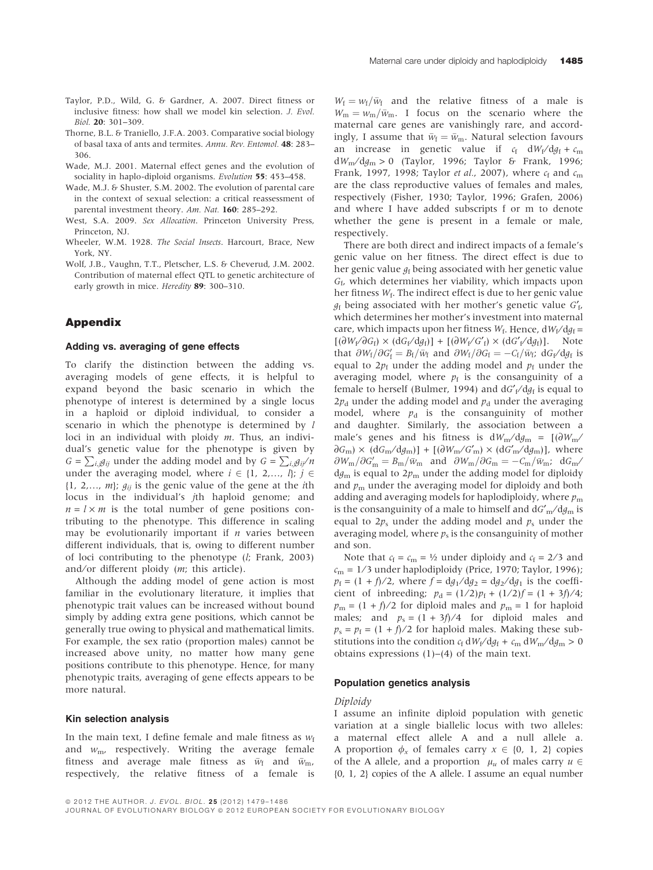- Taylor, P.D., Wild, G. & Gardner, A. 2007. Direct fitness or inclusive fitness: how shall we model kin selection. J. Evol. Biol. 20: 301–309.
- Thorne, B.L. & Traniello, J.F.A. 2003. Comparative social biology of basal taxa of ants and termites. Annu. Rev. Entomol. 48: 283– 306.
- Wade, M.J. 2001. Maternal effect genes and the evolution of sociality in haplo-diploid organisms. Evolution **55**: 453-458.
- Wade, M.J. & Shuster, S.M. 2002. The evolution of parental care in the context of sexual selection: a critical reassessment of parental investment theory. Am. Nat. 160: 285–292.
- West, S.A. 2009. Sex Allocation. Princeton University Press, Princeton, NJ.
- Wheeler, W.M. 1928. The Social Insects. Harcourt, Brace, New York, NY.
- Wolf, J.B., Vaughn, T.T., Pletscher, L.S. & Cheverud, J.M. 2002. Contribution of maternal effect QTL to genetic architecture of early growth in mice. Heredity 89: 300-310.

## Appendix

### Adding vs. averaging of gene effects

To clarify the distinction between the adding vs. averaging models of gene effects, it is helpful to expand beyond the basic scenario in which the phenotype of interest is determined by a single locus in a haploid or diploid individual, to consider a scenario in which the phenotype is determined by l loci in an individual with ploidy  $m$ . Thus, an individual's genetic value for the phenotype is given by  $G = \sum_{i,j} g_{ij}$  under the adding model and by  $G = \sum_{i,j} g_{ij} / n$ under the averaging model, where  $i \in \{1, 2, ..., l\}; j \in$  $\{1, 2,..., m\}; g_{ij}$  is the genic value of the gene at the *i*th locus in the individual's jth haploid genome; and  $n = l \times m$  is the total number of gene positions contributing to the phenotype. This difference in scaling may be evolutionarily important if  $n$  varies between different individuals, that is, owing to different number of loci contributing to the phenotype (l; Frank, 2003) and/or different ploidy  $(m;$  this article).

Although the adding model of gene action is most familiar in the evolutionary literature, it implies that phenotypic trait values can be increased without bound simply by adding extra gene positions, which cannot be generally true owing to physical and mathematical limits. For example, the sex ratio (proportion males) cannot be increased above unity, no matter how many gene positions contribute to this phenotype. Hence, for many phenotypic traits, averaging of gene effects appears to be more natural.

#### Kin selection analysis

In the main text, I define female and male fitness as  $w_f$ and  $w_{\text{m}}$ , respectively. Writing the average female fitness and average male fitness as  $\bar{w}_{\text{f}}$  and  $\bar{w}_{\text{m}}$ , respectively, the relative fitness of a female is

 $W_{\rm f}=w_{\rm f}/\bar{w}_{\rm f}$  and the relative fitness of a male is  $W_{\rm m}=w_{\rm m}/\bar{w}_{\rm m}$ . I focus on the scenario where the maternal care genes are vanishingly rare, and accordingly, I assume that  $\bar{w}_{\rm f} = \bar{w}_{\rm m}$ . Natural selection favours an increase in genetic value if  $c_f$  dW<sub>f</sub>/dg<sub>f</sub> + c<sub>m</sub>  $d_{\text{Mm}}/d_{\text{Mm}} > 0$  (Taylor, 1996; Taylor & Frank, 1996; Frank, 1997, 1998; Taylor et al., 2007), where  $c_f$  and  $c_m$ are the class reproductive values of females and males, respectively (Fisher, 1930; Taylor, 1996; Grafen, 2006) and where I have added subscripts f or m to denote whether the gene is present in a female or male, respectively.

There are both direct and indirect impacts of a female's genic value on her fitness. The direct effect is due to her genic value  $g_f$  being associated with her genetic value  $G<sub>f</sub>$ , which determines her viability, which impacts upon her fitness  $W_f$ . The indirect effect is due to her genic value  $g_{\rm f}$  being associated with her mother's genetic value  $G'_{\rm f}$ , which determines her mother's investment into maternal care, which impacts upon her fitness  $W_f$ . Hence,  $dW_f/dq_f =$  $[(\partial W_f / \partial G_f) \times (dG_f / dg_f)] + [(\partial W_f / G'_f) \times (dG'_f / dg_f)].$  Note that  $\partial W_f/\partial G'_f = B_f/\bar{w}_f$  and  $\partial W_f/\partial G_f = -C_f/\bar{w}_f$ ; d $G_f/dg_f$  is equal to  $2p_f$  under the adding model and  $p_f$  under the averaging model, where  $p_f$  is the consanguinity of a female to herself (Bulmer, 1994) and  $dG'_{f}/dg_{f}$  is equal to  $2p_d$  under the adding model and  $p_d$  under the averaging model, where  $p_d$  is the consanguinity of mother and daughter. Similarly, the association between a male's genes and his fitness is  $dW_m/dg_m = [(\partial W_m /$  $\partial G_{\rm m}$ ) × (d $G_{\rm m}/dg_{\rm m}$ )] + [( $\partial W_{\rm m}/G_{\rm m}'$ ) × (d $G_{\rm m}'$ /d $g_{\rm m}$ )], where  $\partial W_{\rm m}/\partial G'_{\rm m}=B_{\rm m}/\bar{w}_{\rm m}$  and  $\partial W_{\rm m}/\partial G_{\rm m}=-C_{\rm m}/\bar{w}_{\rm m}$ ; d $G_{\rm m}$  $d_{\mathcal{G}_m}$  is equal to  $2p_m$  under the adding model for diploidy and  $p_m$  under the averaging model for diploidy and both adding and averaging models for haplodiploidy, where  $p_{\text{m}}$ is the consanguinity of a male to himself and  $dG'_m/dg_m$  is equal to  $2p_s$  under the adding model and  $p_s$  under the averaging model, where  $p_s$  is the consanguinity of mother and son.

Note that  $c_f = c_m = \frac{1}{2}$  under diploidy and  $c_f = \frac{2}{3}$  and  $c_m = 1/3$  under haplodiploidy (Price, 1970; Taylor, 1996);  $p_f = (1 + f)/2$ , where  $f = dg_1/dg_2 = dg_2/dg_1$  is the coefficient of inbreeding;  $p_d = (1/2)p_f + (1/2)f = (1 + 3f)/4;$  $p_m = (1 + f)/2$  for diploid males and  $p_m = 1$  for haploid males; and  $p_s = (1 + 3f)/4$  for diploid males and  $p_s = p_f = (1 + f)/2$  for haploid males. Making these substitutions into the condition  $c_f dW_f / dg_f + c_m dW_m / dg_m > 0$ obtains expressions  $(1)$ – $(4)$  of the main text.

## Population genetics analysis

#### Diploidy

I assume an infinite diploid population with genetic variation at a single biallelic locus with two alleles: a maternal effect allele A and a null allele a. A proportion  $\phi_x$  of females carry  $x \in \{0, 1, 2\}$  copies of the A allele, and a proportion  $\mu_u$  of males carry  $u \in$ {0, 1, 2} copies of the A allele. I assume an equal number

JOURNAL OF EVOLUTIONARY BIOLOGY ª 2012 EUROPEAN SOCIETY FOR EVOLUTIONARY BIOLOGY